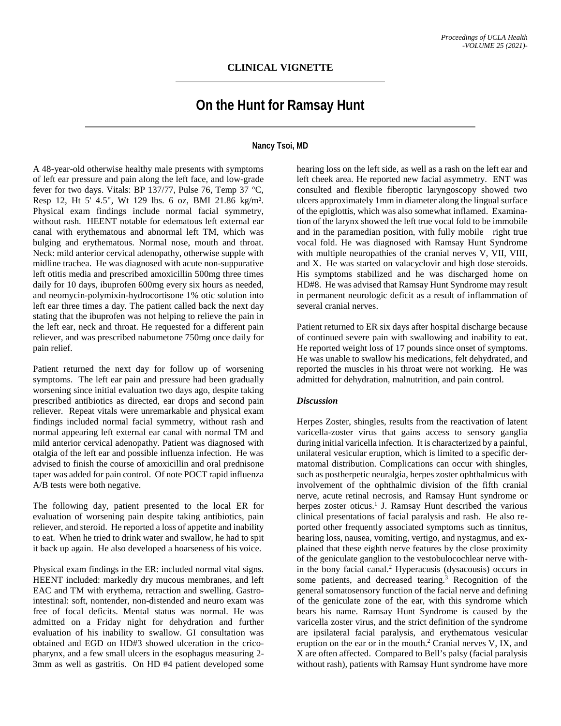## **On the Hunt for Ramsay Hunt**

## **Nancy Tsoi, MD**

A 48-year-old otherwise healthy male presents with symptoms of left ear pressure and pain along the left face, and low-grade fever for two days. Vitals: BP 137/77, Pulse 76, Temp 37 °C, Resp 12, Ht 5' 4.5", Wt 129 lbs. 6 oz, BMI 21.86 kg/m². Physical exam findings include normal facial symmetry, without rash. HEENT notable for edematous left external ear canal with erythematous and abnormal left TM, which was bulging and erythematous. Normal nose, mouth and throat. Neck: mild anterior cervical adenopathy, otherwise supple with midline trachea. He was diagnosed with acute non-suppurative left otitis media and prescribed amoxicillin 500mg three times daily for 10 days, ibuprofen 600mg every six hours as needed, and neomycin-polymixin-hydrocortisone 1% otic solution into left ear three times a day. The patient called back the next day stating that the ibuprofen was not helping to relieve the pain in the left ear, neck and throat. He requested for a different pain reliever, and was prescribed nabumetone 750mg once daily for pain relief.

Patient returned the next day for follow up of worsening symptoms. The left ear pain and pressure had been gradually worsening since initial evaluation two days ago, despite taking prescribed antibiotics as directed, ear drops and second pain reliever. Repeat vitals were unremarkable and physical exam findings included normal facial symmetry, without rash and normal appearing left external ear canal with normal TM and mild anterior cervical adenopathy. Patient was diagnosed with otalgia of the left ear and possible influenza infection. He was advised to finish the course of amoxicillin and oral prednisone taper was added for pain control. Of note POCT rapid influenza A/B tests were both negative.

The following day, patient presented to the local ER for evaluation of worsening pain despite taking antibiotics, pain reliever, and steroid. He reported a loss of appetite and inability to eat. When he tried to drink water and swallow, he had to spit it back up again. He also developed a hoarseness of his voice.

Physical exam findings in the ER: included normal vital signs. HEENT included: markedly dry mucous membranes, and left EAC and TM with erythema, retraction and swelling. Gastrointestinal: soft, nontender, non-distended and neuro exam was free of focal deficits. Mental status was normal. He was admitted on a Friday night for dehydration and further evaluation of his inability to swallow. GI consultation was obtained and EGD on HD#3 showed ulceration in the cricopharynx, and a few small ulcers in the esophagus measuring 2- 3mm as well as gastritis. On HD #4 patient developed some

hearing loss on the left side, as well as a rash on the left ear and left cheek area. He reported new facial asymmetry. ENT was consulted and flexible fiberoptic laryngoscopy showed two ulcers approximately 1mm in diameter along the lingual surface of the epiglottis, which was also somewhat inflamed. Examination of the larynx showed the left true vocal fold to be immobile and in the paramedian position, with fully mobile right true vocal fold. He was diagnosed with Ramsay Hunt Syndrome with multiple neuropathies of the cranial nerves V, VII, VIII, and X. He was started on valacyclovir and high dose steroids. His symptoms stabilized and he was discharged home on HD#8. He was advised that Ramsay Hunt Syndrome may result in permanent neurologic deficit as a result of inflammation of several cranial nerves.

Patient returned to ER six days after hospital discharge because of continued severe pain with swallowing and inability to eat. He reported weight loss of 17 pounds since onset of symptoms. He was unable to swallow his medications, felt dehydrated, and reported the muscles in his throat were not working. He was admitted for dehydration, malnutrition, and pain control.

## *Discussion*

Herpes Zoster, shingles, results from the reactivation of latent varicella-zoster virus that gains access to sensory ganglia during initial varicella infection. It is characterized by a painful, unilateral vesicular eruption, which is limited to a specific dermatomal distribution. Complications can occur with shingles, such as postherpetic neuralgia, herpes zoster ophthalmicus with involvement of the ophthalmic division of the fifth cranial nerve, acute retinal necrosis, and Ramsay Hunt syndrome or herpes zoster oticus.<sup>1</sup> J. Ramsay Hunt described the various clinical presentations of facial paralysis and rash. He also reported other frequently associated symptoms such as tinnitus, hearing loss, nausea, vomiting, vertigo, and nystagmus, and explained that these eighth nerve features by the close proximity of the geniculate ganglion to the vestobulocochlear nerve within the bony facial canal.2 Hyperacusis (dysacousis) occurs in some patients, and decreased tearing.<sup>3</sup> Recognition of the general somatosensory function of the facial nerve and defining of the geniculate zone of the ear, with this syndrome which bears his name. Ramsay Hunt Syndrome is caused by the varicella zoster virus, and the strict definition of the syndrome are ipsilateral facial paralysis, and erythematous vesicular eruption on the ear or in the mouth. $2$  Cranial nerves V, IX, and X are often affected. Compared to Bell's palsy (facial paralysis without rash), patients with Ramsay Hunt syndrome have more